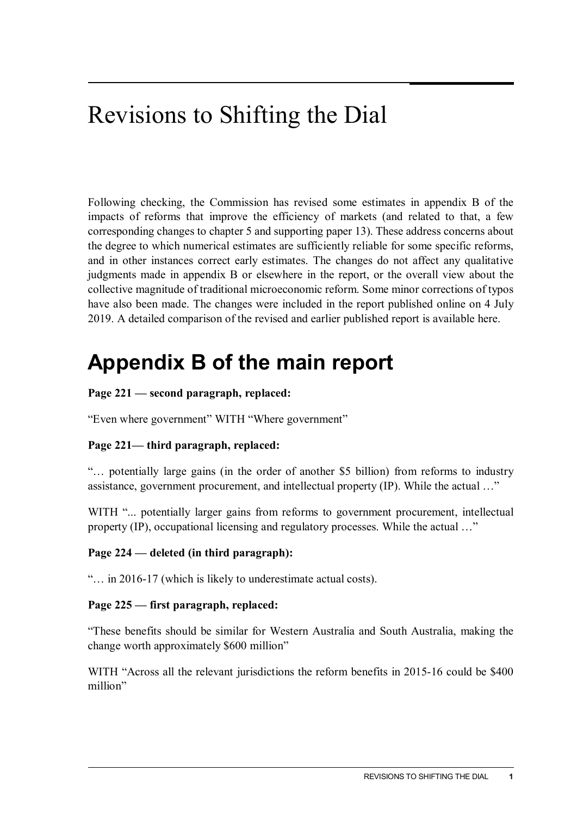# Revisions to Shifting the Dial

Following checking, the Commission has revised some estimates in appendix B of the impacts of reforms that improve the efficiency of markets (and related to that, a few corresponding changes to chapter 5 and supporting paper 13). These address concerns about the degree to which numerical estimates are sufficiently reliable for some specific reforms, and in other instances correct early estimates. The changes do not affect any qualitative judgments made in appendix B or elsewhere in the report, or the overall view about the collective magnitude of traditional microeconomic reform. Some minor corrections of typos have also been made. The changes were included in the report published online on 4 July 2019. A detailed comparison of the revised and earlier published report is available here.

## **Appendix B of the main report**

#### **Page 221 — second paragraph, replaced:**

"Even where government" WITH "Where government"

## **Page 221— third paragraph, replaced:**

"… potentially large gains (in the order of another \$5 billion) from reforms to industry assistance, government procurement, and intellectual property (IP). While the actual …"

WITH "... potentially larger gains from reforms to government procurement, intellectual property (IP), occupational licensing and regulatory processes. While the actual …"

#### **Page 224 — deleted (in third paragraph):**

"… in 2016-17 (which is likely to underestimate actual costs).

#### **Page 225 — first paragraph, replaced:**

"These benefits should be similar for Western Australia and South Australia, making the change worth approximately \$600 million"

WITH "Across all the relevant jurisdictions the reform benefits in 2015-16 could be \$400 million"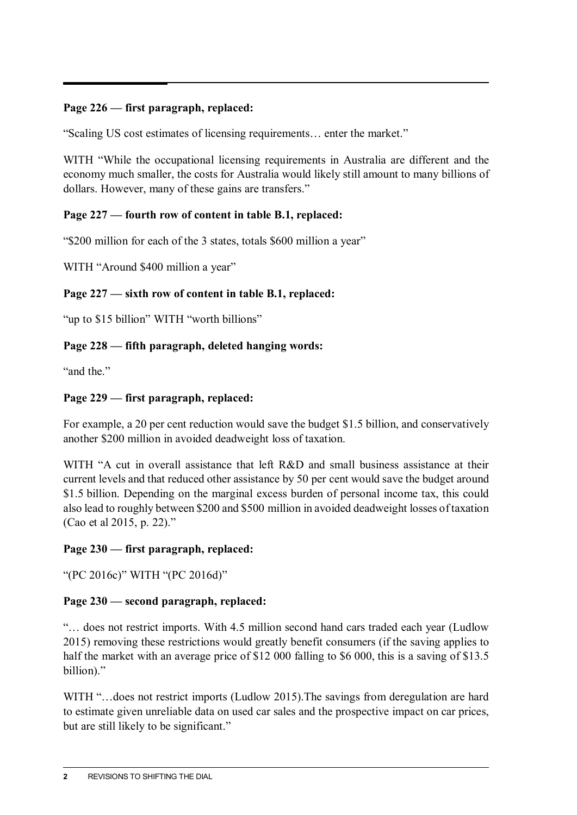#### **Page 226 — first paragraph, replaced:**

"Scaling US cost estimates of licensing requirements… enter the market."

WITH "While the occupational licensing requirements in Australia are different and the economy much smaller, the costs for Australia would likely still amount to many billions of dollars. However, many of these gains are transfers."

#### **Page 227 — fourth row of content in table B.1, replaced:**

"\$200 million for each of the 3 states, totals \$600 million a year"

WITH "Around \$400 million a year"

### **Page 227 — sixth row of content in table B.1, replaced:**

"up to \$15 billion" WITH "worth billions"

### **Page 228 — fifth paragraph, deleted hanging words:**

"and the"

## **Page 229 — first paragraph, replaced:**

For example, a 20 per cent reduction would save the budget \$1.5 billion, and conservatively another \$200 million in avoided deadweight loss of taxation.

WITH "A cut in overall assistance that left R&D and small business assistance at their current levels and that reduced other assistance by 50 per cent would save the budget around \$1.5 billion. Depending on the marginal excess burden of personal income tax, this could also lead to roughly between \$200 and \$500 million in avoided deadweight losses of taxation (Cao et al 2015, p. 22)."

## **Page 230 — first paragraph, replaced:**

"(PC 2016c)" WITH "(PC 2016d)"

## **Page 230 — second paragraph, replaced:**

"… does not restrict imports. With 4.5 million second hand cars traded each year (Ludlow 2015) removing these restrictions would greatly benefit consumers (if the saving applies to half the market with an average price of \$12 000 falling to \$6 000, this is a saving of \$13.5 billion)."

WITH "...does not restrict imports (Ludlow 2015). The savings from deregulation are hard to estimate given unreliable data on used car sales and the prospective impact on car prices, but are still likely to be significant."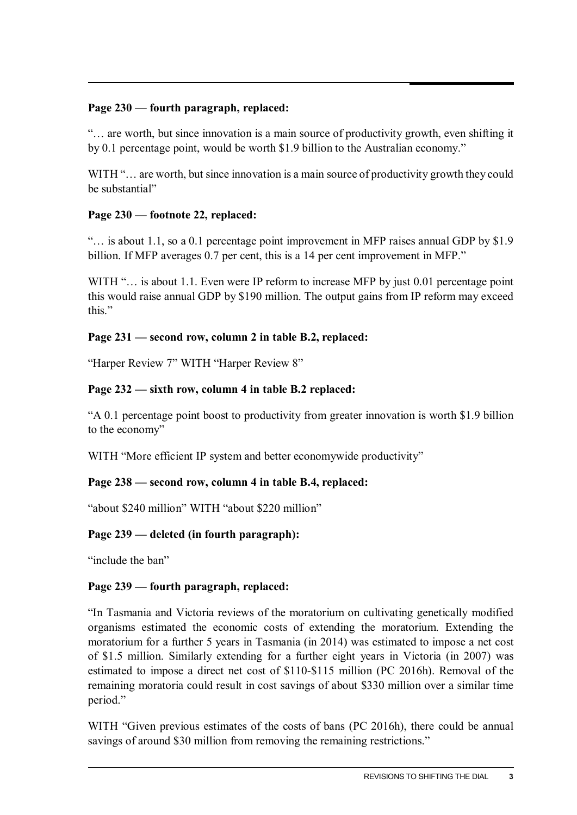#### **Page 230 — fourth paragraph, replaced:**

"… are worth, but since innovation is a main source of productivity growth, even shifting it by 0.1 percentage point, would be worth \$1.9 billion to the Australian economy."

WITH "... are worth, but since innovation is a main source of productivity growth they could be substantial"

#### **Page 230 — footnote 22, replaced:**

"… is about 1.1, so a 0.1 percentage point improvement in MFP raises annual GDP by \$1.9 billion. If MFP averages 0.7 per cent, this is a 14 per cent improvement in MFP."

WITH "... is about 1.1. Even were IP reform to increase MFP by just 0.01 percentage point this would raise annual GDP by \$190 million. The output gains from IP reform may exceed this"

#### **Page 231 — second row, column 2 in table B.2, replaced:**

"Harper Review 7" WITH "Harper Review 8"

#### **Page 232 — sixth row, column 4 in table B.2 replaced:**

"A 0.1 percentage point boost to productivity from greater innovation is worth \$1.9 billion to the economy"

WITH "More efficient IP system and better economywide productivity"

#### **Page 238 — second row, column 4 in table B.4, replaced:**

"about \$240 million" WITH "about \$220 million"

#### **Page 239 — deleted (in fourth paragraph):**

"include the ban"

#### **Page 239 — fourth paragraph, replaced:**

"In Tasmania and Victoria reviews of the moratorium on cultivating genetically modified organisms estimated the economic costs of extending the moratorium. Extending the moratorium for a further 5 years in Tasmania (in 2014) was estimated to impose a net cost of \$1.5 million. Similarly extending for a further eight years in Victoria (in 2007) was estimated to impose a direct net cost of \$110‑\$115 million (PC 2016h). Removal of the remaining moratoria could result in cost savings of about \$330 million over a similar time period."

WITH "Given previous estimates of the costs of bans (PC 2016h), there could be annual savings of around \$30 million from removing the remaining restrictions."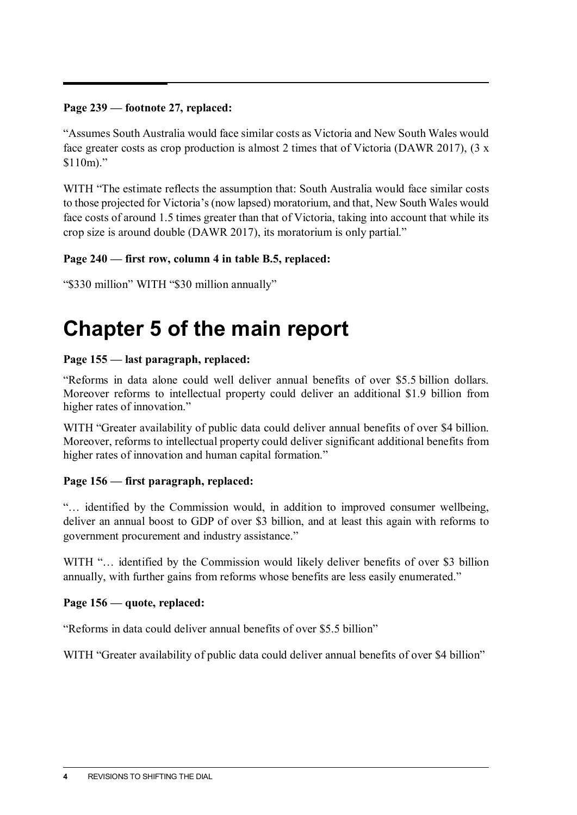#### **Page 239 — footnote 27, replaced:**

"Assumes South Australia would face similar costs as Victoria and New South Wales would face greater costs as crop production is almost 2 times that of Victoria (DAWR 2017), (3 x  $$110m$ ."

WITH "The estimate reflects the assumption that: South Australia would face similar costs to those projected for Victoria's (now lapsed) moratorium, and that, New South Wales would face costs of around 1.5 times greater than that of Victoria, taking into account that while its crop size is around double (DAWR 2017), its moratorium is only partial."

#### **Page 240 — first row, column 4 in table B.5, replaced:**

```
"$330 million" WITH "$30 million annually"
```
## **Chapter 5 of the main report**

#### **Page 155 — last paragraph, replaced:**

"Reforms in data alone could well deliver annual benefits of over \$5.5 billion dollars. Moreover reforms to intellectual property could deliver an additional \$1.9 billion from higher rates of innovation."

WITH "Greater availability of public data could deliver annual benefits of over \$4 billion. Moreover, reforms to intellectual property could deliver significant additional benefits from higher rates of innovation and human capital formation."

#### **Page 156 — first paragraph, replaced:**

"… identified by the Commission would, in addition to improved consumer wellbeing, deliver an annual boost to GDP of over \$3 billion, and at least this again with reforms to government procurement and industry assistance."

WITH "... identified by the Commission would likely deliver benefits of over \$3 billion annually, with further gains from reforms whose benefits are less easily enumerated."

#### **Page 156 — quote, replaced:**

"Reforms in data could deliver annual benefits of over \$5.5 billion"

WITH "Greater availability of public data could deliver annual benefits of over \$4 billion"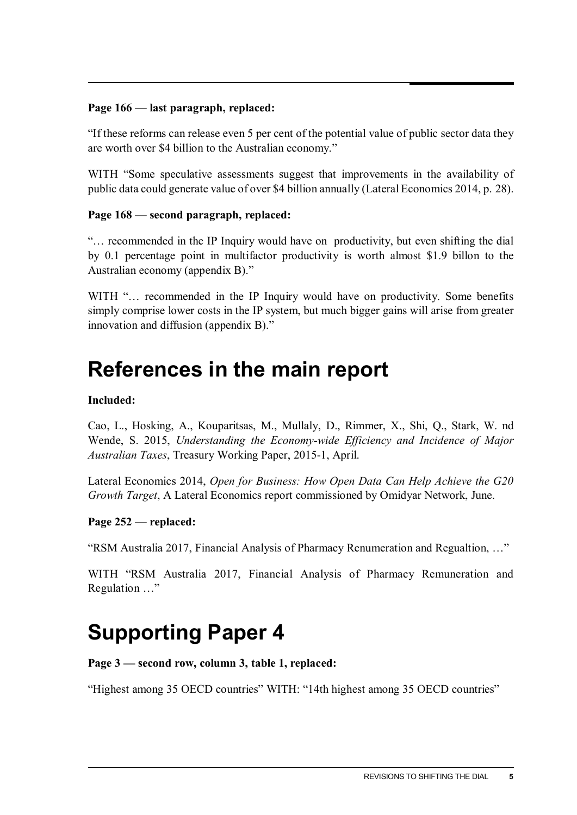#### **Page 166 — last paragraph, replaced:**

"If these reforms can release even 5 per cent of the potential value of public sector data they are worth over \$4 billion to the Australian economy."

WITH "Some speculative assessments suggest that improvements in the availability of public data could generate value of over \$4 billion annually (Lateral Economics 2014, p. 28).

#### **Page 168 — second paragraph, replaced:**

"… recommended in the IP Inquiry would have on productivity, but even shifting the dial by 0.1 percentage point in multifactor productivity is worth almost \$1.9 billon to the Australian economy (appendix B)."

WITH "... recommended in the IP Inquiry would have on productivity. Some benefits simply comprise lower costs in the IP system, but much bigger gains will arise from greater innovation and diffusion (appendix B)."

## **References in the main report**

#### **Included:**

Cao, L., Hosking, A., Kouparitsas, M., Mullaly, D., Rimmer, X., Shi, Q., Stark, W. nd Wende, S. 2015, *Understanding the Economy-wide Efficiency and Incidence of Major Australian Taxes*, Treasury Working Paper, 2015-1, April.

Lateral Economics 2014, *Open for Business: How Open Data Can Help Achieve the G20 Growth Target*, A Lateral Economics report commissioned by Omidyar Network, June.

#### **Page 252 — replaced:**

"RSM Australia 2017, Financial Analysis of Pharmacy Renumeration and Regualtion, …"

WITH "RSM Australia 2017, Financial Analysis of Pharmacy Remuneration and Regulation …"

## **Supporting Paper 4**

**Page 3 — second row, column 3, table 1, replaced:**

"Highest among 35 OECD countries" WITH: "14th highest among 35 OECD countries"